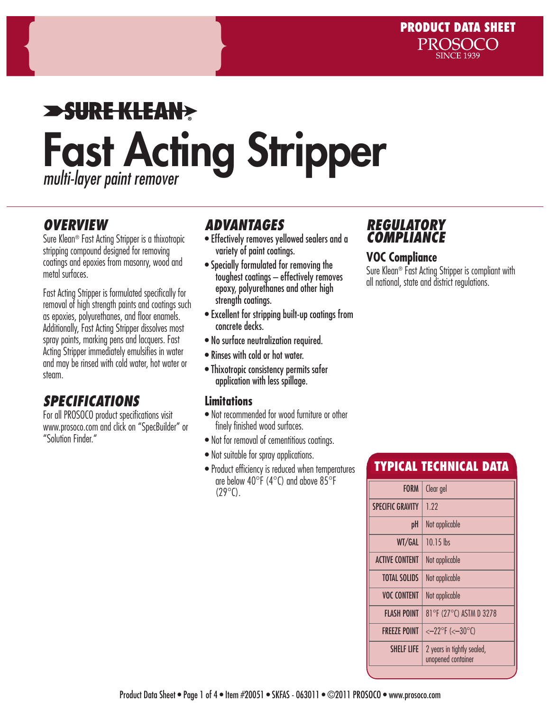# $\blacktriangleright$ SUREKLEAN $\blacktriangleright$ Fast Acting Stripper *multi-layer paint remover*

### *OVERVIEW*

Sure Klean® Fast Acting Stripper is a thixotropic stripping compound designed for removing coatings and epoxies from masonry, wood and metal surfaces.

Fast Acting Stripper is formulated specifically for removal of high strength paints and coatings such as epoxies, polyurethanes, and floor enamels. Additionally, Fast Acting Stripper dissolves most spray paints, marking pens and lacquers. Fast Acting Stripper immediately emulsifies in water and may be rinsed with cold water, hot water or steam.

# *SPECIFICATIONS*

For all PROSOCO product specifications visit www.prosoco.com and click on "SpecBuilder" or "Solution Finder."

# *ADVANTAGES*

- Effectively removes yellowed sealers and a variety of paint coatings.
- Specially formulated for removing the toughest coatings – effectively removes epoxy, polyurethanes and other high strength coatings.
- Excellent for stripping built-up coatings from concrete decks.
- No surface neutralization required.
- Rinses with cold or hot water.
- Thixotropic consistency permits safer application with less spillage.

### **Limitations**

- Not recommended for wood furniture or other finely finished wood surfaces.
- Not for removal of cementitious coatings.
- Not suitable for spray applications.
- Product efficiency is reduced when temperatures are below  $40^{\circ}$ F ( $4^{\circ}$ C) and above  $85^{\circ}$ F  $(29^{\circ}C)$ .

# *REGULATORY*  **COMPLIAN**

### **VOC Compliance**

Sure Klean® Fast Acting Stripper is compliant with all national, state and district regulations.

# TYPICAL TECHNICAL DATA

| <b>FORM</b>             | Clear gel                                        |  |  |
|-------------------------|--------------------------------------------------|--|--|
| <b>SPECIFIC GRAVITY</b> | 1.22                                             |  |  |
| pH                      | Not applicable                                   |  |  |
| WT/GAL                  | $10.15$ lbs                                      |  |  |
| <b>ACTIVE CONTENT</b>   | Not applicable                                   |  |  |
| <b>TOTAL SOLIDS</b>     | Not applicable                                   |  |  |
| <b>VOC CONTENT</b>      | Not applicable                                   |  |  |
| FLASH POINT             | 81°F (27°C) ASTM D 3278                          |  |  |
| <b>FREEZE POINT</b>     | $<-22$ °F (< $-30$ °C)                           |  |  |
| <b>SHELF LIFE</b>       | 2 years in tightly sealed,<br>unopened container |  |  |
|                         |                                                  |  |  |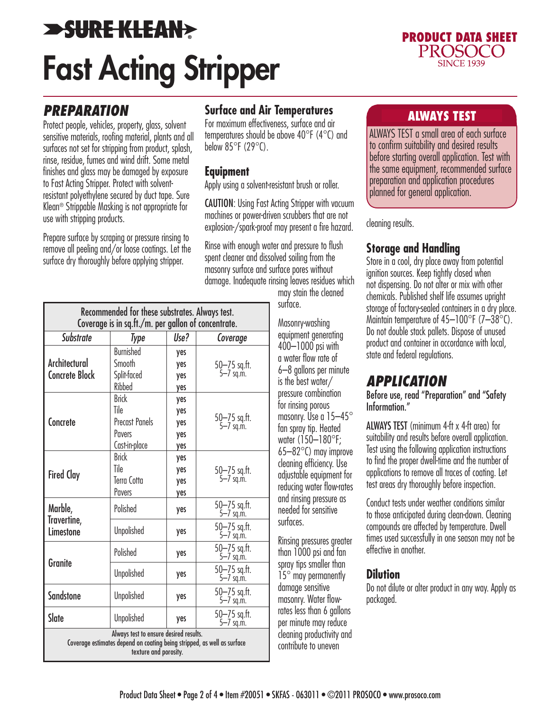# **>SURE KLEAN>** Fast Acting Stripper



### *PREPARATION*

Protect people, vehicles, property, glass, solvent sensitive materials, roofing material, plants and all surfaces not set for stripping from product, splash, rinse, residue, fumes and wind drift. Some metal finishes and glass may be damaged by exposure to Fast Acting Stripper. Protect with solventresistant polyethylene secured by duct tape. Sure Klean® Strippable Masking is not appropriate for use with stripping products.

Prepare surface by scraping or pressure rinsing to remove all peeling and/or loose coatings. Let the surface dry thoroughly before applying stripper.

# **Surface and Air Temperatures Surface and Air Temperatures**

For maximum effectiveness, surface and air temperatures should be above 40°F (4°C) and below  $85^{\circ}$ F (29 $^{\circ}$ C).

### **Equipment**

Apply using a solvent-resistant brush or roller.

CAUTION: Using Fast Acting Stripper with vacuum machines or power-driven scrubbers that are not explosion-/spark-proof may present a fire hazard.

Rinse with enough water and pressure to flush spent cleaner and dissolved soiling from the masonry surface and surface pores without damage. Inadequate rinsing leaves residues which

may stain the cleaned surface.

Masonry-washing equipment generating 400–1000 psi with a water flow rate of 6–8 gallons per minute is the best water/ pressure combination for rinsing porous masonry. Use a 15-45° fan spray tip. Heated water (150–180°F; 65–82°C) may improve cleaning efficiency. Use adjustable equipment for reducing water flow-rates and rinsing pressure as needed for sensitive surfaces.

Rinsing pressures greater than 1000 psi and fan spray tips smaller than 15° may permanently damage sensitive masonry. Water flowrates less than 6 gallons per minute may reduce cleaning productivity and contribute to uneven

ALWAYS TEST a small area of each surface to confirm suitability and desired results before starting overall application. Test with the same equipment, recommended surface preparation and application procedures planned for general application.

#### cleaning results.

### **Storage and Handling**

Store in a cool, dry place away from potential ignition sources. Keep tightly closed when not dispensing. Do not alter or mix with other chemicals. Published shelf life assumes upright storage of factory-sealed containers in a dry place. Maintain temperature of  $45-100^{\circ}$ F (7-38 $^{\circ}$ C). Do not double stack pallets. Dispose of unused product and container in accordance with local, state and federal regulations.

# *APPLICATION*

Before use, read "Preparation" and "Safety Information."

ALWAYS TEST (minimum 4-ft x 4-ft area) for suitability and results before overall application. Test using the following application instructions to find the proper dwell-time and the number of applications to remove all traces of coating. Let test areas dry thoroughly before inspection.

Conduct tests under weather conditions similar to those anticipated during clean-down. Cleaning compounds are affected by temperature. Dwell times used successfully in one season may not be effective in another.

### **Dilution**

Do not dilute or alter product in any way. Apply as packaged.

|                                                     | Recommended for these substrates. Always test.                                                                                             |      |                                   |  |
|-----------------------------------------------------|--------------------------------------------------------------------------------------------------------------------------------------------|------|-----------------------------------|--|
| Coverage is in sq.ft./m. per gallon of concentrate. |                                                                                                                                            |      |                                   |  |
| <b>Substrate</b>                                    | Type                                                                                                                                       | Use? | Coverage                          |  |
|                                                     | <b>Burnished</b>                                                                                                                           | yes  |                                   |  |
| Architectural<br><b>Concrete Block</b>              | Smooth                                                                                                                                     | yes  | 50—75 sq.ft.<br>5—7 sq.m.         |  |
|                                                     | Split-faced                                                                                                                                | yes  |                                   |  |
|                                                     | Ribbed                                                                                                                                     | yes  |                                   |  |
| Concrete                                            | <b>Brick</b>                                                                                                                               | yes  | 50-75 sq.ft.<br>5-7 sq.m.         |  |
|                                                     | Tile                                                                                                                                       | yes  |                                   |  |
|                                                     | <b>Precast Panels</b>                                                                                                                      | yes  |                                   |  |
|                                                     | Pavers                                                                                                                                     | yes  |                                   |  |
|                                                     | Cast-in-place                                                                                                                              | yes  |                                   |  |
| <b>Fired Clay</b>                                   | <b>Brick</b>                                                                                                                               | yes  | 50-75 sq.ft.<br>5-7 sq.m.         |  |
|                                                     | Tile                                                                                                                                       | yes  |                                   |  |
|                                                     | Terra Cotta                                                                                                                                | yes  |                                   |  |
|                                                     | Pavers                                                                                                                                     | yes  |                                   |  |
| Marble,<br>Travertine,<br>Limestone                 | Polished                                                                                                                                   | yes  | 50-75 sq.ft.<br>$5 - 7$ sq.m.     |  |
|                                                     | <b>Unpolished</b>                                                                                                                          | yes  | $50 - 75$ sq.ft.<br>$5 - 7$ sq.m. |  |
| Granite                                             | Polished                                                                                                                                   | yes  | 50-75 sq.ft.<br>5-7 sq.m.         |  |
|                                                     | <b>Unpolished</b>                                                                                                                          | yes  | 50-75 sq.ft.<br>$5 - 7$ sq.m.     |  |
| <b>Sandstone</b>                                    | <b>Unpolished</b>                                                                                                                          | yes  | 50-75 sq.ft.<br>$5 - 7$ sq.m.     |  |
| Slate                                               | <b>Unpolished</b>                                                                                                                          | yes  | 50-75 sq.ft.<br>5-7 sq.m.         |  |
|                                                     | Always test to ensure desired results.<br>Coverage estimates depend on coating being stripped, as well as surface<br>texture and porosity. |      |                                   |  |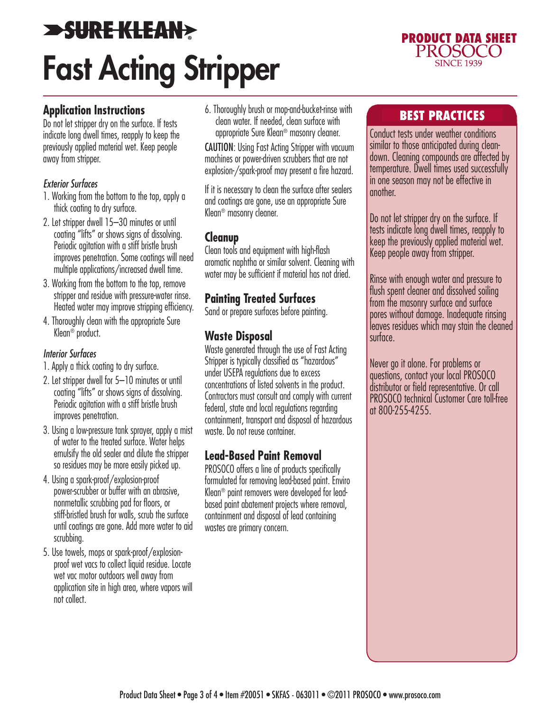# **>SURE KLEAN>** Fast Acting Stripper



### **Application Instructions**

Do not let stripper dry on the surface. If tests indicate long dwell times, reapply to keep the previously applied material wet. Keep people away from stripper.

#### *Exterior Surfaces*

- 1. Working from the bottom to the top, apply a thick coating to dry surface.
- 2. Let stripper dwell 15–30 minutes or until coating "lifts" or shows signs of dissolving. Periodic agitation with a stiff bristle brush improves penetration. Some coatings will need multiple applications/increased dwell time.
- 3. Working from the bottom to the top, remove stripper and residue with pressure-water rinse. Heated water may improve stripping efficiency.
- 4. Thoroughly clean with the appropriate Sure Klean® product.

#### *Interior Surfaces*

- 1. Apply a thick coating to dry surface.
- 2. Let stripper dwell for 5–10 minutes or until coating "lifts" or shows signs of dissolving. Periodic agitation with a stiff bristle brush improves penetration.
- 3. Using a low-pressure tank sprayer, apply a mist of water to the treated surface. Water helps emulsify the old sealer and dilute the stripper so residues may be more easily picked up.
- 4. Using a spark-proof/explosion-proof power-scrubber or buffer with an abrasive, nonmetallic scrubbing pad for floors, or stiff-bristled brush for walls, scrub the surface until coatings are gone. Add more water to aid scrubbing.
- 5. Use towels, mops or spark-proof/explosionproof wet vacs to collect liquid residue. Locate wet vac motor outdoors well away from application site in high area, where vapors will not collect.

6. Thoroughly brush or mop-and-bucket-rinse with clean water. If needed, clean surface with appropriate Sure Klean® masonry cleaner.

CAUTION: Using Fast Acting Stripper with vacuum machines or power-driven scrubbers that are not explosion-/spark-proof may present a fire hazard.

If it is necessary to clean the surface after sealers and coatings are gone, use an appropriate Sure Klean® masonry cleaner.

### **Cleanup**

Clean tools and equipment with high-flash aromatic naphtha or similar solvent. Cleaning with water may be sufficient if material has not dried.

### **Painting Treated Surfaces**

Sand or prepare surfaces before painting.

### **Waste Disposal**

Waste generated through the use of Fast Acting Stripper is typically classified as "hazardous" under USEPA regulations due to excess concentrations of listed solvents in the product. Contractors must consult and comply with current federal, state and local regulations regarding containment, transport and disposal of hazardous waste. Do not reuse container.

### **Lead-Based Paint Removal**

PROSOCO offers a line of products specifically formulated for removing lead-based paint. Enviro Klean® paint removers were developed for leadbased paint abatement projects where removal, containment and disposal of lead containing wastes are primary concern.

### BEST PRACTICES

Conduct tests under weather conditions similar to those anticipated during cleandown. Cleaning compounds are affected by temperature. Dwell times used successfully in one season may not be effective in another.

Do not let stripper dry on the surface. If tests indicate long dwell times, reapply to keep the previously applied material wet. Keep people away from stripper.

Rinse with enough water and pressure to flush spent cleaner and dissolved soiling from the masonry surface and surface pores without damage. Inadequate rinsing leaves residues which may stain the cleaned surface.

Never go it alone. For problems or questions, contact your local PROSOCO distributor or field representative. Or call PROSOCO technical Customer Care toll-free at 800-255-4255.